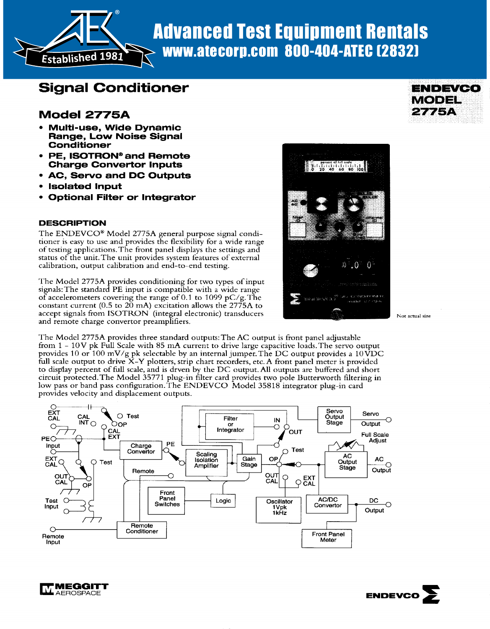$\mathcal{S}$   $\mathcal{S}$   $\mathcal{S}$   $\mathcal{S}$   $\mathcal{S}$   $\mathcal{S}$   $\mathcal{S}$   $\mathcal{S}$   $\mathcal{S}$   $\mathcal{S}$   $\mathcal{S}$   $\mathcal{S}$   $\mathcal{S}$   $\mathcal{S}$   $\mathcal{S}$   $\mathcal{S}$   $\mathcal{S}$   $\mathcal{S}$   $\mathcal{S}$   $\mathcal{S}$   $\mathcal{S}$   $\mathcal{S}$   $\mathcal{S}$   $\mathcal{S}$   $\mathcal{$ **Advanced Test Equipment Rentals** www.atecorp.com 800-404-ATEC (2832)

## Model 2775A Signal Conditione **ignal Conditione**

®

## **Model 2775A**

**Established <sup>1</sup>981**

- Multi-use, Wide Dynamic Range, Low Noise Signal **Conditioner<br>• PE. ISOTRON® and Remote**
- **Charge Convertor Inputs**
- 
- **Isolated Input**
- Optional Filter or Integrator

#### **DESCRIPTION** status of the unit .The unit provides system features of external

The ENDEVCO® Model 2775A general purpose sign. of testing applications. The front panel displays the settings and status of the unit. The unit provides system features of external calibration, output calibration and end-to-end testing.

The Model 2775A provides conditioning for two types of input signals: The standard PE input is compatible with a wide range of accelerometers covering the range of 0.1 to 1099 pC/g. The constant current (0.5 to  $20 \text{ mA}$ ) excitation allows the 2775A to accept signals from ISOTRON (integral electronic) transducers and remote charge convertor preamplifiers.



provides 10 or 100 mV/g parameter  $_1$  plants. The DC output provides a  $\sim$  100  $\pm$  1000  $\pm$  1000  $\pm$  1000  $\pm$  1000  $\pm$  1000  $\pm$  1000  $\pm$  1000  $\pm$  1000  $\pm$  1000  $\pm$  1000  $\pm$  1000  $\pm$  1000  $\pm$  1000  $\pm$  1000 The Model 2775A provides three standard outputs: The AC output is front panel adjustable<br>from  $1-10$ V pk Full Scale with 85 mA current to drive large cancitive loods. The serve output from  $1 - 10V$  pk Full Scale with 85 mA current to drive large capacitive loads. The servo output provides 10 or 100 mV/g pk selectable by an internal jumper. The DC output provides a 10 VDC full scale output to drive  $X-Y$  plotters, strip chart recorders, etc. A front panel meter is provided to display percent of full scale, and is drven by the DC output. All outputs are buffered and short circuit protected. The Model 35771 plug-in filter card provides two pole Butterworth filtering in







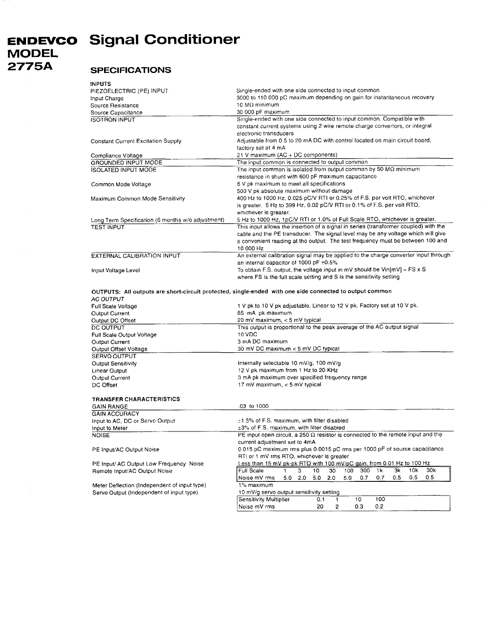# MODEL<br>2775A

# ENDEVCO Signal Conditioner

## **SPECIFICATIONS**

| <b>INPUTS</b>                                     |                                                                                                              |  |  |  |  |  |  |  |
|---------------------------------------------------|--------------------------------------------------------------------------------------------------------------|--|--|--|--|--|--|--|
| PIEZOELECTRIC (PE) INPUT                          | Single-ended with one side connected to input common                                                         |  |  |  |  |  |  |  |
| Input Charge                                      | 3000 to 110 000 pC maximum depending on gain for instantaneous recovery                                      |  |  |  |  |  |  |  |
| Source Resistance                                 | 10 MΩ minimum                                                                                                |  |  |  |  |  |  |  |
| Source Capacitance                                | 30 000 pF maximum                                                                                            |  |  |  |  |  |  |  |
| <b>ISOTRON INPUT</b>                              | Single-ended with one side connected to input common. Compatible with                                        |  |  |  |  |  |  |  |
|                                                   | constant current systems using 2 wire remote charge convertors, or integral                                  |  |  |  |  |  |  |  |
|                                                   | electronic transducers                                                                                       |  |  |  |  |  |  |  |
| Constant Current Excitation Supply                | Adjustable from 0.5 to 20 mA DC with control located on main circuit board,                                  |  |  |  |  |  |  |  |
|                                                   | factory set at 4 mA                                                                                          |  |  |  |  |  |  |  |
|                                                   |                                                                                                              |  |  |  |  |  |  |  |
| Compliance Voltage                                | 21 V maximum (AC + DC components)                                                                            |  |  |  |  |  |  |  |
| GROUNDED INPUT MODE                               | The input common is connected to output common                                                               |  |  |  |  |  |  |  |
| <b>ISOLATED INPUT MODE</b>                        | The input common is isolated from output common by 50 $M\Omega$ minimum                                      |  |  |  |  |  |  |  |
|                                                   | resistance in shunt with 600 pF maximum capacitance                                                          |  |  |  |  |  |  |  |
| Common Mode Voltage                               | 6 V pk maximum to meet all specifications                                                                    |  |  |  |  |  |  |  |
|                                                   | 500 V pk absolute maximum without damage                                                                     |  |  |  |  |  |  |  |
| Maximum Common Mode Sensitivity                   | 400 Hz to 1000 Hz, 0.025 pC/V RTI or 0.25% of F.S. per volt RTO, whichever                                   |  |  |  |  |  |  |  |
|                                                   | is greater. 5 Hz to 399 Hz, 0.02 pC/V RTI or 0.1% of F.S. per volt RTO,                                      |  |  |  |  |  |  |  |
|                                                   | whichever is greater.                                                                                        |  |  |  |  |  |  |  |
| Long Term Specification (6 months w/o adjustment) | 5 Hz to 1000 Hz, 1pC/V RTI or 1.0% of Full Scale RTO, whichever is greater.                                  |  |  |  |  |  |  |  |
| <b>TEST INPUT</b>                                 | This input allows the insertion of a signal in series (transformer coupled) with the                         |  |  |  |  |  |  |  |
|                                                   | cable and the PE transducer. The signal level may be any voltage which will give                             |  |  |  |  |  |  |  |
|                                                   | a convenient reading at the output. The test frequency must be between 100 and                               |  |  |  |  |  |  |  |
|                                                   | 10 000 Hz                                                                                                    |  |  |  |  |  |  |  |
| EXTERNAL CALIBRATION INPUT                        | An external calibration signal may be applied to the charge converter input through                          |  |  |  |  |  |  |  |
|                                                   | an internal capacitor of 1000 pF ±0.5%                                                                       |  |  |  |  |  |  |  |
|                                                   | To obtain F.S. output, the voltage input in mV should be $\text{Vin}[m\text{V}] = \text{FS} \times \text{S}$ |  |  |  |  |  |  |  |
| Input Voltage Level                               | where FS is the full scale setting and S is the sensitivity setting                                          |  |  |  |  |  |  |  |
| AC OUTPUT                                         | OUTPUTS: All outputs are short-circuit protected, single-ended with one side connected to output common      |  |  |  |  |  |  |  |
| Full Scale Voltage                                | 1 V pk to 10 V pk adjustable. Linear to 12 V pk. Factory set at 10 V pk.                                     |  |  |  |  |  |  |  |
| Output Current                                    | 85 mA pk maximum                                                                                             |  |  |  |  |  |  |  |
| Output DC Offset                                  | 20 mV maximum, < 5 mV typical                                                                                |  |  |  |  |  |  |  |
| DC OUTPUT                                         | This output is proportional to the peak average of the AC output signal                                      |  |  |  |  |  |  |  |
| <b>Full Scale Output Voltage</b>                  | 10 VDC                                                                                                       |  |  |  |  |  |  |  |
| Output Current                                    | 3 mA DC maximum                                                                                              |  |  |  |  |  |  |  |
| Output Offset Voltage                             | 30 mV DC maximum < 5 mV DC typical                                                                           |  |  |  |  |  |  |  |
| SERVO OUTPUT                                      |                                                                                                              |  |  |  |  |  |  |  |
| Output Sensitivity                                | Internally selectable 10 mV/g, 100 mV/g                                                                      |  |  |  |  |  |  |  |
| <b>Linear Output</b>                              | 12 V pk maximum from 1 Hz to 20 KHz                                                                          |  |  |  |  |  |  |  |
| Output Current                                    | 3 mA pk maximum over specified frequency range                                                               |  |  |  |  |  |  |  |
| DC Offset                                         | 17 mV maximum, < 5 mV typical                                                                                |  |  |  |  |  |  |  |
|                                                   |                                                                                                              |  |  |  |  |  |  |  |
| TRANSFER CHARACTERISTICS                          |                                                                                                              |  |  |  |  |  |  |  |
| GAIN RANGE                                        | .03 to 1000                                                                                                  |  |  |  |  |  |  |  |
| <b>GAIN ACCURACY</b>                              |                                                                                                              |  |  |  |  |  |  |  |
|                                                   | $\pm 1.5\%$ of F.S. maximum, with filter disabled                                                            |  |  |  |  |  |  |  |
| Input to AC, DC or Servo Output                   |                                                                                                              |  |  |  |  |  |  |  |
| Input to Meter                                    | ±3% of F.S. maximum, with filter disabled                                                                    |  |  |  |  |  |  |  |
| <b>NOISE</b>                                      | PE input open circuit, a 250 $\Omega$ resistor is connected to the remote input and the                      |  |  |  |  |  |  |  |
|                                                   | current adjustment set to 4mA                                                                                |  |  |  |  |  |  |  |
| PE Input/AC Output Noise                          | 0.015 pC maximum rms plus 0.0015 pC rms per 1000 pF of source capacitance                                    |  |  |  |  |  |  |  |
|                                                   | RTI or 1 mV rms RTO, whichever is greater                                                                    |  |  |  |  |  |  |  |
| PE Input/ AC Output Low Frequency Noise           | Less than 15 mV pk-pk RTO with 100 mV/pC gain, from 0.01 Hz to 100 Hz                                        |  |  |  |  |  |  |  |
| Remote Input/AC Output Noise                      | <b>Full Scale</b><br>300<br>1k<br>Зĸ<br>10k<br>30k<br>3<br>10<br>100<br>1<br>30                              |  |  |  |  |  |  |  |
|                                                   | 0.5<br>0.5<br>0.5<br>Noise mV rms<br>$5.0\quad 2.0$<br>5.0<br>2.0<br>5.0<br>0.7<br>0.7                       |  |  |  |  |  |  |  |
| Meter Deflection (Independent of input type)      | 1% maximum                                                                                                   |  |  |  |  |  |  |  |
| Servo Output (Independent of input type)          | 10 mV/g servo output sensitivity setting                                                                     |  |  |  |  |  |  |  |
|                                                   | 100<br>Sensitivity Multiplier<br>10<br>0.1<br>1                                                              |  |  |  |  |  |  |  |
|                                                   | 2<br>0.2<br>Noise mV rms<br>20<br>0.3                                                                        |  |  |  |  |  |  |  |
|                                                   |                                                                                                              |  |  |  |  |  |  |  |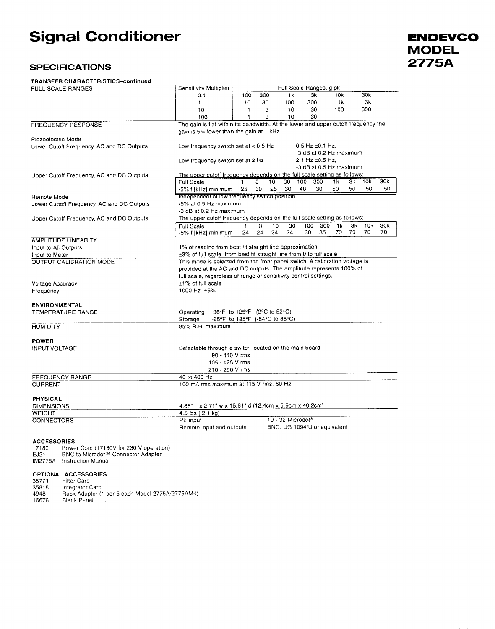## Signal Conditioner

### **SPECIFICATIONS**

| <b>ENDEVCO</b> |
|----------------|
| <b>MODEL</b>   |
| 2775A          |

| TRANSFER CHARACTERISTICS-continued<br>FULL SCALE RANGES                                                                                                                                                   | Sensitivity Multiplier<br>Full Scale Ranges, g pk                                                                                                  |                         |                                                               |     |                |      |                                |                 |  |  |  |  |  |  |
|-----------------------------------------------------------------------------------------------------------------------------------------------------------------------------------------------------------|----------------------------------------------------------------------------------------------------------------------------------------------------|-------------------------|---------------------------------------------------------------|-----|----------------|------|--------------------------------|-----------------|--|--|--|--|--|--|
|                                                                                                                                                                                                           | 100<br>0.1                                                                                                                                         | 300                     | 1k                                                            | 3k  | 10k            |      | 30k                            |                 |  |  |  |  |  |  |
|                                                                                                                                                                                                           | $\mathbf{1}$<br>10                                                                                                                                 | 30                      | 100<br>300                                                    |     | 1 <sub>k</sub> |      | 3k                             |                 |  |  |  |  |  |  |
|                                                                                                                                                                                                           | 10<br>$\mathbf{1}$                                                                                                                                 | 3                       | 10                                                            | 30  | 100            |      | 300                            |                 |  |  |  |  |  |  |
|                                                                                                                                                                                                           | 100<br>1                                                                                                                                           | 3                       | 30<br>10                                                      |     |                |      |                                |                 |  |  |  |  |  |  |
| <b>FREQUENCY RESPONSE</b>                                                                                                                                                                                 | The gain is flat within its bandwidth. At the lower and upper cutoff frequency the                                                                 |                         |                                                               |     |                |      |                                |                 |  |  |  |  |  |  |
|                                                                                                                                                                                                           | gain is 5% lower than the gain at 1 kHz.                                                                                                           |                         |                                                               |     |                |      |                                |                 |  |  |  |  |  |  |
| Piezoelectric Mode                                                                                                                                                                                        |                                                                                                                                                    |                         |                                                               |     |                |      |                                |                 |  |  |  |  |  |  |
| Lower Cutoff Frequency, AC and DC Outputs                                                                                                                                                                 | Low frequency switch set at $< 0.5$ Hz<br>$0.5$ Hz $\pm 0.1$ Hz.                                                                                   |                         |                                                               |     |                |      |                                |                 |  |  |  |  |  |  |
|                                                                                                                                                                                                           | -3 dB at 0.2 Hz maximum                                                                                                                            |                         |                                                               |     |                |      |                                |                 |  |  |  |  |  |  |
|                                                                                                                                                                                                           | Low frequency switch set at 2 Hz<br>$2.1$ Hz $\pm 0.5$ Hz,                                                                                         |                         |                                                               |     |                |      |                                |                 |  |  |  |  |  |  |
|                                                                                                                                                                                                           |                                                                                                                                                    | -3 dB at 0.5 Hz maximum |                                                               |     |                |      |                                |                 |  |  |  |  |  |  |
| Upper Cutoff Frequency, AC and DC Outputs                                                                                                                                                                 | The upper cutoff frequency depends on the full scale setting as follows:                                                                           |                         |                                                               |     |                |      |                                |                 |  |  |  |  |  |  |
|                                                                                                                                                                                                           | 3<br><b>Full Scale</b><br>$\blacksquare$                                                                                                           | 30<br>10 <sup>10</sup>  | 100                                                           | 300 | 1k             | 3k   | 10k                            | 30 <sub>k</sub> |  |  |  |  |  |  |
|                                                                                                                                                                                                           | 30<br>25<br>-5% f [kHz] minimum                                                                                                                    | 25<br>30                | 40                                                            | 30  | 50             | 50   | 50                             | 50              |  |  |  |  |  |  |
| Remote Mode                                                                                                                                                                                               | Independent of low frequency switch position                                                                                                       |                         |                                                               |     |                |      |                                |                 |  |  |  |  |  |  |
| Lower Cuttoff Frequency, AC and DC Outputs                                                                                                                                                                | -5% at 0.5 Hz maximum                                                                                                                              |                         |                                                               |     |                |      |                                |                 |  |  |  |  |  |  |
|                                                                                                                                                                                                           | -3 dB at 0.2 Hz maximum                                                                                                                            |                         |                                                               |     |                |      |                                |                 |  |  |  |  |  |  |
| Upper Cutoff Frequency, AC and DC Outputs                                                                                                                                                                 | The upper cutoff frequency depends on the full scale setting as follows:                                                                           |                         |                                                               |     |                |      |                                |                 |  |  |  |  |  |  |
|                                                                                                                                                                                                           | 3<br><b>Full Scale</b><br>1                                                                                                                        | 10                      | 30<br>100                                                     | 300 | 1k             | 3k   | 10k                            | 30 <sub>k</sub> |  |  |  |  |  |  |
|                                                                                                                                                                                                           | 24<br>-5% f [kHz] minimum<br>24                                                                                                                    | 24                      | 24<br>30                                                      | 35  | 70             | - 70 | 70                             | 70              |  |  |  |  |  |  |
| <b>AMPLITUDE LINEARITY</b>                                                                                                                                                                                |                                                                                                                                                    |                         |                                                               |     |                |      |                                |                 |  |  |  |  |  |  |
| Input to All Outputs                                                                                                                                                                                      | 1% of reading from best fit straight line approximation                                                                                            |                         |                                                               |     |                |      |                                |                 |  |  |  |  |  |  |
| Input to Meter                                                                                                                                                                                            | ±3% of full scale from best fit straight line from 0 to full scale                                                                                 |                         |                                                               |     |                |      |                                |                 |  |  |  |  |  |  |
| <b>OUTPUT CALIBRATION MODE</b>                                                                                                                                                                            | This mode is selected from the front panel switch. A calibration voltage is<br>provided at the AC and DC outputs. The amplitude represents 100% of |                         |                                                               |     |                |      |                                |                 |  |  |  |  |  |  |
|                                                                                                                                                                                                           | full scale, regardless of range or sensitivity control settings.                                                                                   |                         |                                                               |     |                |      |                                |                 |  |  |  |  |  |  |
| Voltage Accuracy                                                                                                                                                                                          | ±1% of full scale                                                                                                                                  |                         |                                                               |     |                |      |                                |                 |  |  |  |  |  |  |
| Frequency                                                                                                                                                                                                 | 1000 Hz ±5%                                                                                                                                        |                         |                                                               |     |                |      |                                |                 |  |  |  |  |  |  |
|                                                                                                                                                                                                           |                                                                                                                                                    |                         |                                                               |     |                |      |                                |                 |  |  |  |  |  |  |
|                                                                                                                                                                                                           |                                                                                                                                                    |                         |                                                               |     |                |      |                                |                 |  |  |  |  |  |  |
|                                                                                                                                                                                                           |                                                                                                                                                    |                         |                                                               |     |                |      |                                |                 |  |  |  |  |  |  |
|                                                                                                                                                                                                           |                                                                                                                                                    |                         |                                                               |     |                |      | -65°F to 185°F (-54°C to 85°C) |                 |  |  |  |  |  |  |
|                                                                                                                                                                                                           | Operating<br>36°F to 125°F (2°C to 52°C)                                                                                                           |                         |                                                               |     |                |      |                                |                 |  |  |  |  |  |  |
|                                                                                                                                                                                                           | Storage<br>95% R.H. maximum                                                                                                                        |                         |                                                               |     |                |      |                                |                 |  |  |  |  |  |  |
|                                                                                                                                                                                                           |                                                                                                                                                    |                         |                                                               |     |                |      |                                |                 |  |  |  |  |  |  |
|                                                                                                                                                                                                           |                                                                                                                                                    |                         |                                                               |     |                |      |                                |                 |  |  |  |  |  |  |
|                                                                                                                                                                                                           | Selectable through a switch located on the main board                                                                                              |                         |                                                               |     |                |      |                                |                 |  |  |  |  |  |  |
|                                                                                                                                                                                                           | $90 - 110$ V rms                                                                                                                                   |                         |                                                               |     |                |      |                                |                 |  |  |  |  |  |  |
|                                                                                                                                                                                                           | 105 - 125 V rms                                                                                                                                    |                         |                                                               |     |                |      |                                |                 |  |  |  |  |  |  |
|                                                                                                                                                                                                           | 210 - 250 V rms                                                                                                                                    |                         |                                                               |     |                |      |                                |                 |  |  |  |  |  |  |
|                                                                                                                                                                                                           | 40 to 400 Hz                                                                                                                                       |                         |                                                               |     |                |      |                                |                 |  |  |  |  |  |  |
|                                                                                                                                                                                                           | 100 mA rms maximum at 115 V rms, 60 Hz                                                                                                             |                         |                                                               |     |                |      |                                |                 |  |  |  |  |  |  |
|                                                                                                                                                                                                           |                                                                                                                                                    |                         |                                                               |     |                |      |                                |                 |  |  |  |  |  |  |
|                                                                                                                                                                                                           |                                                                                                                                                    |                         |                                                               |     |                |      |                                |                 |  |  |  |  |  |  |
|                                                                                                                                                                                                           | 4.88" h x 2.71" w x 15.81" d (12.4cm x 6.9cm x 40.2cm)                                                                                             |                         |                                                               |     |                |      |                                |                 |  |  |  |  |  |  |
| <b>ENVIRONMENTAL</b><br><b>TEMPERATURE RANGE</b><br><b>HUMIDITY</b><br><b>POWER</b><br>INPUT VOLTAGE<br><b>FREQUENCY RANGE</b><br><b>CURRENT</b><br><b>PHYSICAL</b><br><b>DIMENSIONS</b><br><b>WEIGHT</b> | 4.5 lbs (2.1 kg)                                                                                                                                   |                         |                                                               |     |                |      |                                |                 |  |  |  |  |  |  |
| <b>CONNECTORS</b>                                                                                                                                                                                         | PE input<br>Remote input and outputs                                                                                                               |                         | 10 - 32 Microdot <sup>®</sup><br>BNC, UG 1094/U or equivalent |     |                |      |                                |                 |  |  |  |  |  |  |

17180 Power Cord (17180V for 230 V operation)<br>EJ21 BNC to Microdot™ Connector Adapter<br>IM2775A Instruction Manual

#### OPTIONAL ACCESSORIES

| 35771 | Filter Card                                     |
|-------|-------------------------------------------------|
| 35818 | Integrator Card                                 |
| 4948  | Rack Adapter (1 per 6 each Model 2775A/2775AM4) |
| 16678 | Blank Panel                                     |